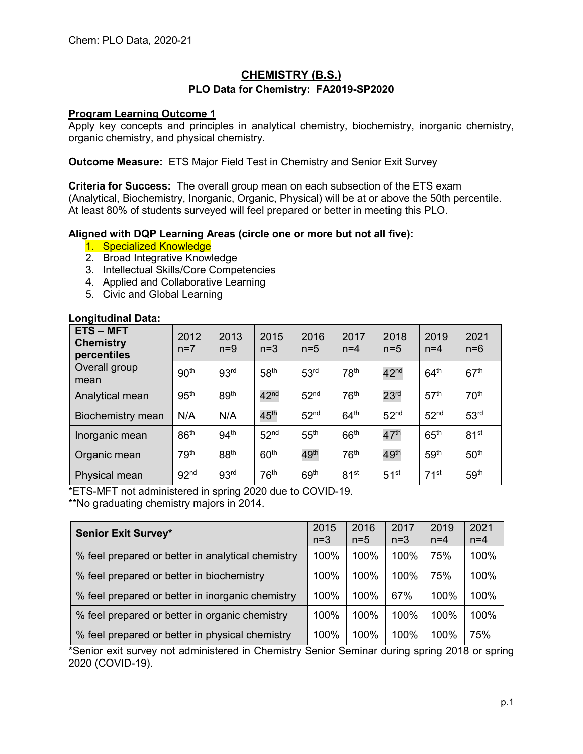# **CHEMISTRY (B.S.) PLO Data for Chemistry: FA2019-SP2020**

## **Program Learning Outcome 1**

Apply key concepts and principles in analytical chemistry, biochemistry, inorganic chemistry, organic chemistry, and physical chemistry.

**Outcome Measure:** ETS Major Field Test in Chemistry and Senior Exit Survey

**Criteria for Success:** The overall group mean on each subsection of the ETS exam (Analytical, Biochemistry, Inorganic, Organic, Physical) will be at or above the 50th percentile. At least 80% of students surveyed will feel prepared or better in meeting this PLO.

## **Aligned with DQP Learning Areas (circle one or more but not all five):**

- 1. Specialized Knowledge
- 2. Broad Integrative Knowledge
- 3. Intellectual Skills/Core Competencies
- 4. Applied and Collaborative Learning
- 5. Civic and Global Learning

#### **Longitudinal Data:**

| <b>ETS-MFT</b><br><b>Chemistry</b><br>percentiles | 2012<br>$n=7$    | 2013<br>$n=9$    | 2015<br>$n=3$    | 2016<br>$n=5$    | 2017<br>$n=4$    | 2018<br>$n=5$    | 2019<br>$n=4$    | 2021<br>$n=6$    |
|---------------------------------------------------|------------------|------------------|------------------|------------------|------------------|------------------|------------------|------------------|
| Overall group<br>mean                             | 90 <sup>th</sup> | 93 <sup>rd</sup> | 58 <sup>th</sup> | 53 <sup>rd</sup> | 78 <sup>th</sup> | $42^{\text{nd}}$ | 64 <sup>th</sup> | 67 <sup>th</sup> |
| Analytical mean                                   | 95 <sup>th</sup> | 89 <sup>th</sup> | $42^{\text{nd}}$ | 52 <sup>nd</sup> | 76 <sup>th</sup> | 23 <sup>rd</sup> | 57 <sup>th</sup> | 70 <sup>th</sup> |
| Biochemistry mean                                 | N/A              | N/A              | 45 <sup>th</sup> | 52 <sup>nd</sup> | 64 <sup>th</sup> | 52 <sup>nd</sup> | 52 <sup>nd</sup> | 53 <sup>rd</sup> |
| Inorganic mean                                    | 86 <sup>th</sup> | 94 <sup>th</sup> | 52 <sup>nd</sup> | 55 <sup>th</sup> | 66 <sup>th</sup> | 47 <sup>th</sup> | 65 <sup>th</sup> | 81 <sup>st</sup> |
| Organic mean                                      | 79 <sup>th</sup> | 88 <sup>th</sup> | 60 <sup>th</sup> | 49 <sup>th</sup> | 76 <sup>th</sup> | 49 <sup>th</sup> | 59 <sup>th</sup> | 50 <sup>th</sup> |
| Physical mean                                     | 92 <sup>nd</sup> | 93 <sup>rd</sup> | 76 <sup>th</sup> | 69 <sup>th</sup> | 81 <sup>st</sup> | 51 <sup>st</sup> | 71 <sup>st</sup> | 59 <sup>th</sup> |

\*ETS-MFT not administered in spring 2020 due to COVID-19.

\*\*No graduating chemistry majors in 2014.

| <b>Senior Exit Survey*</b>                        | 2015<br>$n=3$ | 2016<br>$n=5$ | 2017<br>$n=3$ | 2019<br>$n=4$ | 2021<br>$n=4$ |
|---------------------------------------------------|---------------|---------------|---------------|---------------|---------------|
| % feel prepared or better in analytical chemistry | 100%          | 100%          | 100%          | 75%           | 100%          |
| % feel prepared or better in biochemistry         | 100%          | 100%          | 100%          | 75%           | 100%          |
| % feel prepared or better in inorganic chemistry  | 100%          | 100%          | 67%           | 100%          | 100%          |
| % feel prepared or better in organic chemistry    | 100%          | 100%          | 100%          | 100%          | 100%          |
| % feel prepared or better in physical chemistry   | 100%          | 100%          | 100%          | 100%          | 75%           |

\*Senior exit survey not administered in Chemistry Senior Seminar during spring 2018 or spring 2020 (COVID-19).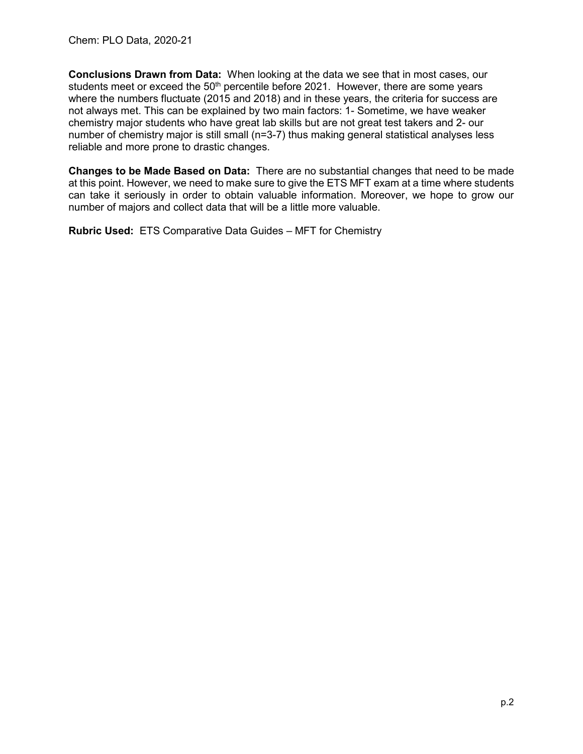**Conclusions Drawn from Data:** When looking at the data we see that in most cases, our students meet or exceed the  $50<sup>th</sup>$  percentile before 2021. However, there are some years where the numbers fluctuate (2015 and 2018) and in these years, the criteria for success are not always met. This can be explained by two main factors: 1- Sometime, we have weaker chemistry major students who have great lab skills but are not great test takers and 2- our number of chemistry major is still small (n=3-7) thus making general statistical analyses less reliable and more prone to drastic changes.

**Changes to be Made Based on Data:** There are no substantial changes that need to be made at this point. However, we need to make sure to give the ETS MFT exam at a time where students can take it seriously in order to obtain valuable information. Moreover, we hope to grow our number of majors and collect data that will be a little more valuable.

**Rubric Used:** ETS Comparative Data Guides – MFT for Chemistry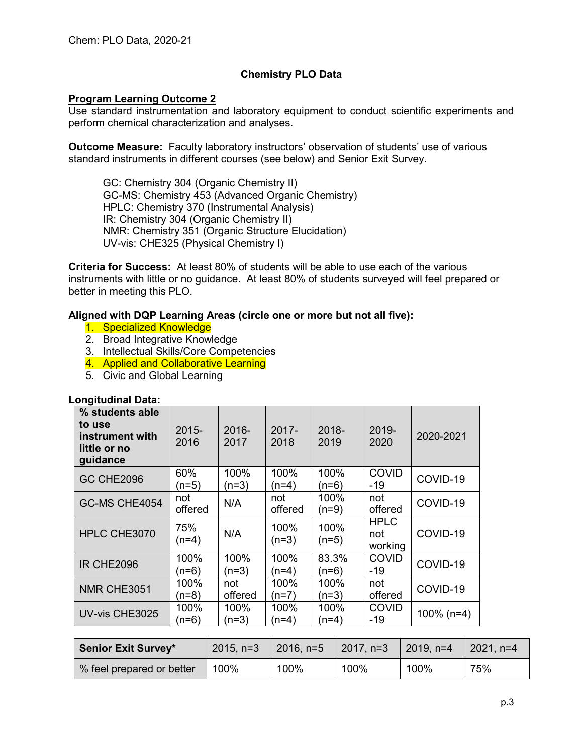# **Chemistry PLO Data**

## **Program Learning Outcome 2**

Use standard instrumentation and laboratory equipment to conduct scientific experiments and perform chemical characterization and analyses.

**Outcome Measure:** Faculty laboratory instructors' observation of students' use of various standard instruments in different courses (see below) and Senior Exit Survey.

GC: Chemistry 304 (Organic Chemistry II) GC-MS: Chemistry 453 (Advanced Organic Chemistry) HPLC: Chemistry 370 (Instrumental Analysis) IR: Chemistry 304 (Organic Chemistry II) NMR: Chemistry 351 (Organic Structure Elucidation) UV-vis: CHE325 (Physical Chemistry I)

**Criteria for Success:** At least 80% of students will be able to use each of the various instruments with little or no guidance. At least 80% of students surveyed will feel prepared or better in meeting this PLO.

## **Aligned with DQP Learning Areas (circle one or more but not all five):**

- 1. Specialized Knowledge
- 2. Broad Integrative Knowledge
- 3. Intellectual Skills/Core Competencies
- 4. Applied and Collaborative Learning
- 5. Civic and Global Learning

#### **Longitudinal Data:**

| % students able<br>to use<br>instrument with<br>little or no<br>guidance | $2015 -$<br>2016 | 2016-<br>2017   | $2017 -$<br>2018 | 2018-<br>2019    | 2019-<br>2020                 | 2020-2021     |
|--------------------------------------------------------------------------|------------------|-----------------|------------------|------------------|-------------------------------|---------------|
| <b>GC CHE2096</b>                                                        | 60%<br>(n=5)     | 100%<br>$(n=3)$ | 100%<br>(n=4)    | 100%<br>(n=6)    | <b>COVID</b><br>-19           | COVID-19      |
| GC-MS CHE4054                                                            | not<br>offered   | N/A             | not<br>offered   | 100%<br>$(n=9)$  | not<br>offered                | COVID-19      |
| HPLC CHE3070                                                             | 75%<br>$(n=4)$   | N/A             | 100%<br>$(n=3)$  | 100%<br>$(n=5)$  | <b>HPLC</b><br>not<br>working | COVID-19      |
| <b>IR CHE2096</b>                                                        | 100%<br>(n=6)    | 100%<br>$(n=3)$ | 100%<br>(n=4)    | 83.3%<br>$(n=6)$ | <b>COVID</b><br>-19           | COVID-19      |
| NMR CHE3051                                                              | 100%<br>$(n=8)$  | not<br>offered  | 100%<br>$(n=7)$  | 100%<br>$(n=3)$  | not<br>offered                | COVID-19      |
| UV-vis CHE3025                                                           | 100%<br>(n=6)    | 100%<br>$(n=3)$ | 100%<br>(n=4)    | 100%<br>$(n=4)$  | <b>COVID</b><br>-19           | $100\%$ (n=4) |

| <b>Senior Exit Survey*</b> | $2015, n=3$ | $ 2016, n=5 $ 2017, n=3 |      | 2019, $n=4$ | $2021, n=4$ |
|----------------------------|-------------|-------------------------|------|-------------|-------------|
| % feel prepared or better  | 100%        | 100%                    | 100% | 100%        | 75%         |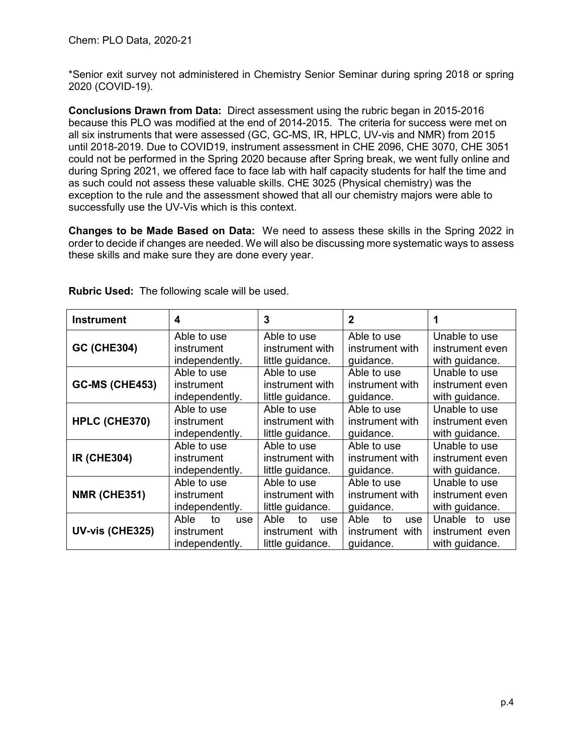\*Senior exit survey not administered in Chemistry Senior Seminar during spring 2018 or spring 2020 (COVID-19).

**Conclusions Drawn from Data:** Direct assessment using the rubric began in 2015-2016 because this PLO was modified at the end of 2014-2015. The criteria for success were met on all six instruments that were assessed (GC, GC-MS, IR, HPLC, UV-vis and NMR) from 2015 until 2018-2019. Due to COVID19, instrument assessment in CHE 2096, CHE 3070, CHE 3051 could not be performed in the Spring 2020 because after Spring break, we went fully online and during Spring 2021, we offered face to face lab with half capacity students for half the time and as such could not assess these valuable skills. CHE 3025 (Physical chemistry) was the exception to the rule and the assessment showed that all our chemistry majors were able to successfully use the UV-Vis which is this context.

**Changes to be Made Based on Data:** We need to assess these skills in the Spring 2022 in order to decide if changes are needed. We will also be discussing more systematic ways to assess these skills and make sure they are done every year.

| <b>Instrument</b>     | 4                                                 | 3                                                        | $\mathbf{2}$                                      | 1                                                     |  |
|-----------------------|---------------------------------------------------|----------------------------------------------------------|---------------------------------------------------|-------------------------------------------------------|--|
| <b>GC (CHE304)</b>    | Able to use                                       | Able to use                                              | Able to use                                       | Unable to use                                         |  |
|                       | instrument                                        | instrument with                                          | instrument with                                   | instrument even                                       |  |
|                       | independently.                                    | little guidance.                                         | guidance.                                         | with guidance.                                        |  |
| <b>GC-MS (CHE453)</b> | Able to use                                       | Able to use                                              | Able to use                                       | Unable to use                                         |  |
|                       | instrument                                        | instrument with                                          | instrument with                                   | instrument even                                       |  |
|                       | independently.                                    | little guidance.                                         | guidance.                                         | with guidance.                                        |  |
| HPLC (CHE370)         | Able to use                                       | Able to use                                              | Able to use                                       | Unable to use                                         |  |
|                       | instrument                                        | instrument with                                          | instrument with                                   | instrument even                                       |  |
|                       | independently.                                    | little guidance.                                         | guidance.                                         | with guidance.                                        |  |
| <b>IR (CHE304)</b>    | Able to use                                       | Able to use                                              | Able to use                                       | Unable to use                                         |  |
|                       | instrument                                        | instrument with                                          | instrument with                                   | instrument even                                       |  |
|                       | independently.                                    | little guidance.                                         | guidance.                                         | with guidance.                                        |  |
| <b>NMR (CHE351)</b>   | Able to use                                       | Able to use                                              | Able to use                                       | Unable to use                                         |  |
|                       | instrument                                        | instrument with                                          | instrument with                                   | instrument even                                       |  |
|                       | independently.                                    | little guidance.                                         | guidance.                                         | with guidance.                                        |  |
| UV-vis (CHE325)       | Able<br>to<br>use<br>instrument<br>independently. | Able<br>to<br>use<br>instrument with<br>little guidance. | Able<br>to<br>use<br>instrument with<br>guidance. | Unable to<br>use<br>instrument even<br>with guidance. |  |

**Rubric Used:** The following scale will be used.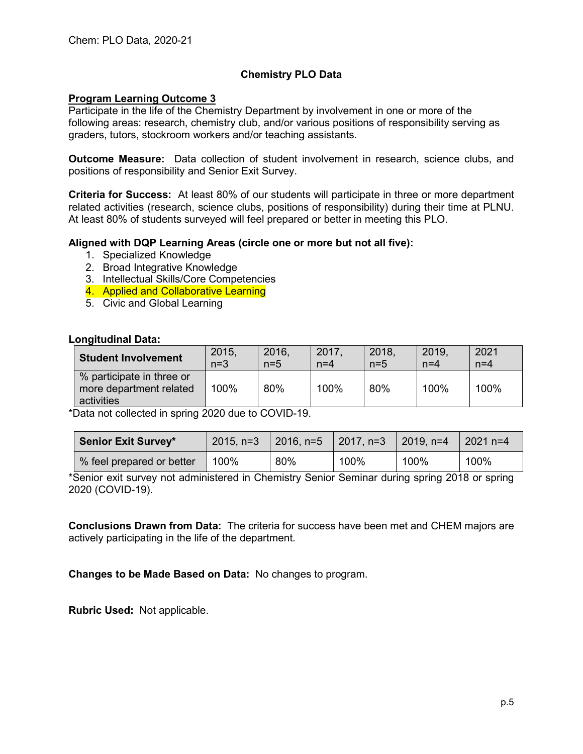# **Chemistry PLO Data**

## **Program Learning Outcome 3**

Participate in the life of the Chemistry Department by involvement in one or more of the following areas: research, chemistry club, and/or various positions of responsibility serving as graders, tutors, stockroom workers and/or teaching assistants.

**Outcome Measure:** Data collection of student involvement in research, science clubs, and positions of responsibility and Senior Exit Survey.

**Criteria for Success:** At least 80% of our students will participate in three or more department related activities (research, science clubs, positions of responsibility) during their time at PLNU. At least 80% of students surveyed will feel prepared or better in meeting this PLO.

#### **Aligned with DQP Learning Areas (circle one or more but not all five):**

- 1. Specialized Knowledge
- 2. Broad Integrative Knowledge
- 3. Intellectual Skills/Core Competencies
- 4. Applied and Collaborative Learning
- 5. Civic and Global Learning

#### **Longitudinal Data:**

| <b>Student Involvement</b>                                         | 2015. | 2016. | 2017. | 2018. | 2019. | 2021  |
|--------------------------------------------------------------------|-------|-------|-------|-------|-------|-------|
|                                                                    | $n=3$ | $n=5$ | $n=4$ | $n=5$ | $n=4$ | $n=4$ |
| % participate in three or<br>more department related<br>activities | 100%  | 80%   | 100%  | 80%   | 100%  | 100%  |

\*Data not collected in spring 2020 due to COVID-19.

| <b>Senior Exit Survey*</b> | $2015, n=3$ | 2016, n=5   2017, n=3 |      | $2019, n=4$ | l 2021 n=4 |
|----------------------------|-------------|-----------------------|------|-------------|------------|
| % feel prepared or better  | 100%        | 80%                   | 100% | 100%        | 100%       |

\*Senior exit survey not administered in Chemistry Senior Seminar during spring 2018 or spring 2020 (COVID-19).

**Conclusions Drawn from Data:** The criteria for success have been met and CHEM majors are actively participating in the life of the department.

**Changes to be Made Based on Data:** No changes to program.

**Rubric Used:** Not applicable.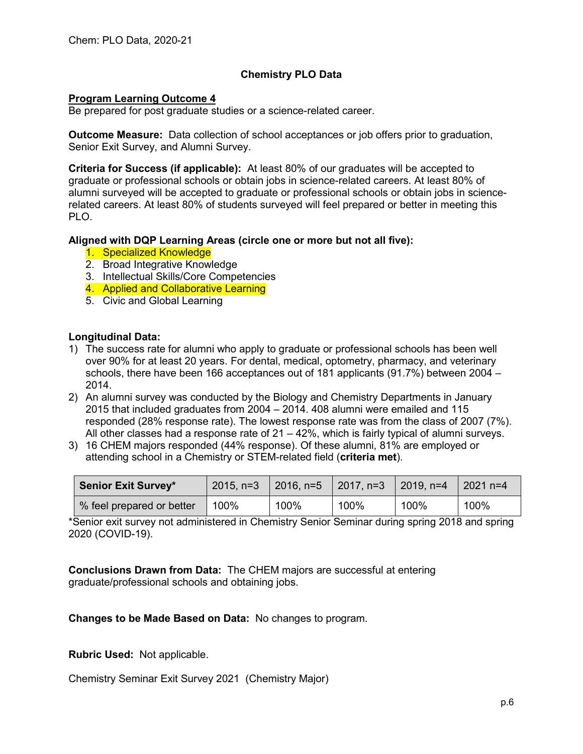## **Chemistry PLO Data**

## **Program Learning Outcome 4**

Be prepared for post graduate studies or a science-related career.

**Outcome Measure:** Data collection of school acceptances or job offers prior to graduation, Senior Exit Survey, and Alumni Survey.

**Criteria for Success (if applicable):** At least 80% of our graduates will be accepted to graduate or professional schools or obtain jobs in science-related careers. At least 80% of alumni surveyed will be accepted to graduate or professional schools or obtain jobs in sciencerelated careers. At least 80% of students surveyed will feel prepared or better in meeting this PLO.

## **Aligned with DQP Learning Areas (circle one or more but not all five):**

- 1. Specialized Knowledge
- 2. Broad Integrative Knowledge
- 3. Intellectual Skills/Core Competencies
- 4. Applied and Collaborative Learning
- 5. Civic and Global Learning

## **Longitudinal Data:**

- 1) The success rate for alumni who apply to graduate or professional schools has been well over 90% for at least 20 years. For dental, medical, optometry, pharmacy, and veterinary schools, there have been 166 acceptances out of 181 applicants (91.7%) between 2004 – 2014.
- 2) An alumni survey was conducted by the Biology and Chemistry Departments in January 2015 that included graduates from 2004 – 2014. 408 alumni were emailed and 115 responded (28% response rate). The lowest response rate was from the class of 2007 (7%). All other classes had a response rate of  $21 - 42\%$ , which is fairly typical of alumni surveys.
- 3) 16 CHEM majors responded (44% response). Of these alumni, 81% are employed or attending school in a Chemistry or STEM-related field (**criteria met**).

| <b>Senior Exit Survey*</b> |      | 2015, n=3 $\,$ 2016, n=5 $\,$ 2017, n=3 $\,$ 2019, n=4 |      |      | 2021 $n=4$ |
|----------------------------|------|--------------------------------------------------------|------|------|------------|
| % feel prepared or better  | 100% | 100%                                                   | 100% | 100% | 100%       |

\*Senior exit survey not administered in Chemistry Senior Seminar during spring 2018 and spring 2020 (COVID-19).

**Conclusions Drawn from Data:** The CHEM majors are successful at entering graduate/professional schools and obtaining jobs.

**Changes to be Made Based on Data:** No changes to program.

**Rubric Used:** Not applicable.

Chemistry Seminar Exit Survey 2021 (Chemistry Major)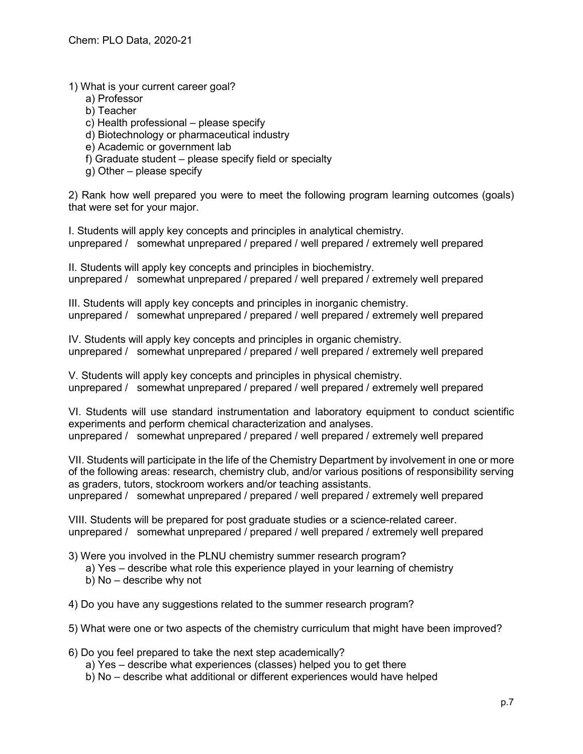1) What is your current career goal?

- a) Professor
- b) Teacher

c) Health professional – please specify

- d) Biotechnology or pharmaceutical industry
- e) Academic or government lab
- f) Graduate student please specify field or specialty
- g) Other please specify

2) Rank how well prepared you were to meet the following program learning outcomes (goals) that were set for your major.

I. Students will apply key concepts and principles in analytical chemistry. unprepared / somewhat unprepared / prepared / well prepared / extremely well prepared

II. Students will apply key concepts and principles in biochemistry. unprepared / somewhat unprepared / prepared / well prepared / extremely well prepared

III. Students will apply key concepts and principles in inorganic chemistry. unprepared / somewhat unprepared / prepared / well prepared / extremely well prepared

IV. Students will apply key concepts and principles in organic chemistry. unprepared / somewhat unprepared / prepared / well prepared / extremely well prepared

V. Students will apply key concepts and principles in physical chemistry. unprepared / somewhat unprepared / prepared / well prepared / extremely well prepared

VI. Students will use standard instrumentation and laboratory equipment to conduct scientific experiments and perform chemical characterization and analyses. unprepared / somewhat unprepared / prepared / well prepared / extremely well prepared

VII. Students will participate in the life of the Chemistry Department by involvement in one or more of the following areas: research, chemistry club, and/or various positions of responsibility serving as graders, tutors, stockroom workers and/or teaching assistants. unprepared / somewhat unprepared / prepared / well prepared / extremely well prepared

VIII. Students will be prepared for post graduate studies or a science-related career. unprepared / somewhat unprepared / prepared / well prepared / extremely well prepared

3) Were you involved in the PLNU chemistry summer research program?

- a) Yes describe what role this experience played in your learning of chemistry
- b) No describe why not

4) Do you have any suggestions related to the summer research program?

5) What were one or two aspects of the chemistry curriculum that might have been improved?

6) Do you feel prepared to take the next step academically?

- a) Yes describe what experiences (classes) helped you to get there
- b) No describe what additional or different experiences would have helped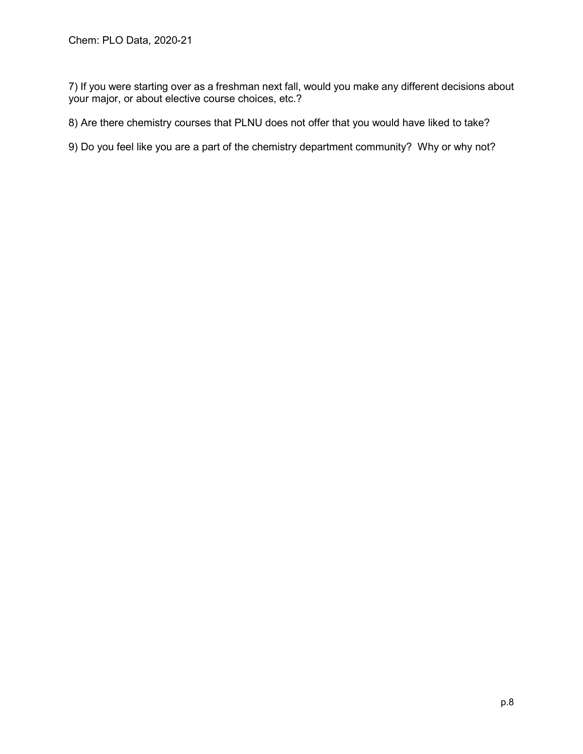7) If you were starting over as a freshman next fall, would you make any different decisions about your major, or about elective course choices, etc.?

8) Are there chemistry courses that PLNU does not offer that you would have liked to take?

9) Do you feel like you are a part of the chemistry department community? Why or why not?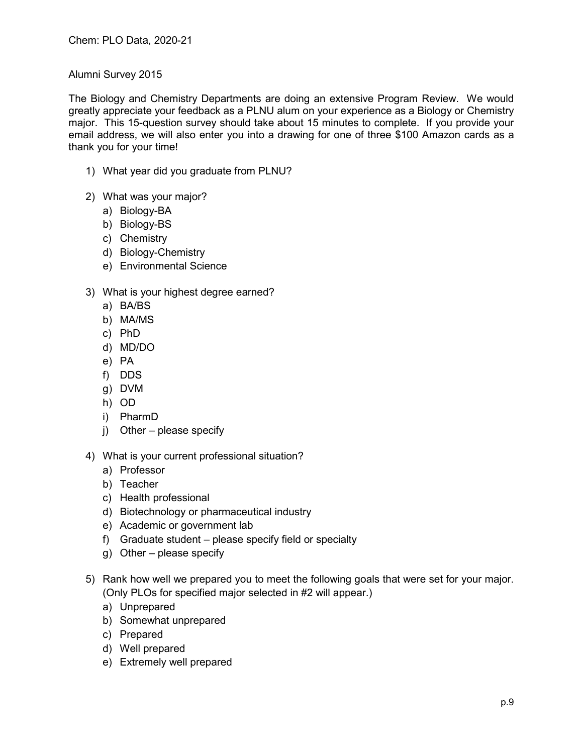## Alumni Survey 2015

The Biology and Chemistry Departments are doing an extensive Program Review. We would greatly appreciate your feedback as a PLNU alum on your experience as a Biology or Chemistry major. This 15-question survey should take about 15 minutes to complete. If you provide your email address, we will also enter you into a drawing for one of three \$100 Amazon cards as a thank you for your time!

- 1) What year did you graduate from PLNU?
- 2) What was your major?
	- a) Biology-BA
	- b) Biology-BS
	- c) Chemistry
	- d) Biology-Chemistry
	- e) Environmental Science
- 3) What is your highest degree earned?
	- a) BA/BS
	- b) MA/MS
	- c) PhD
	- d) MD/DO
	- e) PA
	- f) DDS
	- g) DVM
	- h) OD
	- i) PharmD
	- j) Other please specify
- 4) What is your current professional situation?
	- a) Professor
	- b) Teacher
	- c) Health professional
	- d) Biotechnology or pharmaceutical industry
	- e) Academic or government lab
	- f) Graduate student please specify field or specialty
	- g) Other please specify
- 5) Rank how well we prepared you to meet the following goals that were set for your major. (Only PLOs for specified major selected in #2 will appear.)
	- a) Unprepared
	- b) Somewhat unprepared
	- c) Prepared
	- d) Well prepared
	- e) Extremely well prepared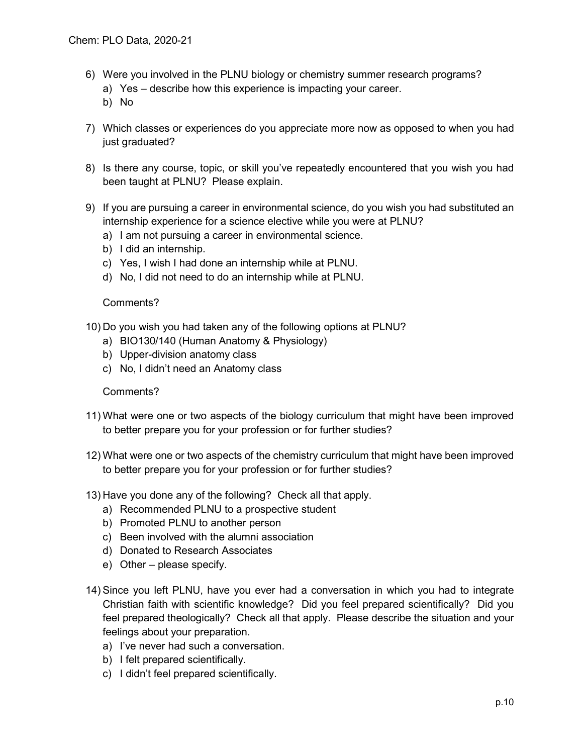- 6) Were you involved in the PLNU biology or chemistry summer research programs?
	- a) Yes describe how this experience is impacting your career.
	- b) No
- 7) Which classes or experiences do you appreciate more now as opposed to when you had just graduated?
- 8) Is there any course, topic, or skill you've repeatedly encountered that you wish you had been taught at PLNU? Please explain.
- 9) If you are pursuing a career in environmental science, do you wish you had substituted an internship experience for a science elective while you were at PLNU?
	- a) I am not pursuing a career in environmental science.
	- b) I did an internship.
	- c) Yes, I wish I had done an internship while at PLNU.
	- d) No, I did not need to do an internship while at PLNU.

## Comments?

- 10) Do you wish you had taken any of the following options at PLNU?
	- a) BIO130/140 (Human Anatomy & Physiology)
	- b) Upper-division anatomy class
	- c) No, I didn't need an Anatomy class

## Comments?

- 11) What were one or two aspects of the biology curriculum that might have been improved to better prepare you for your profession or for further studies?
- 12) What were one or two aspects of the chemistry curriculum that might have been improved to better prepare you for your profession or for further studies?
- 13) Have you done any of the following? Check all that apply.
	- a) Recommended PLNU to a prospective student
	- b) Promoted PLNU to another person
	- c) Been involved with the alumni association
	- d) Donated to Research Associates
	- e) Other please specify.
- 14) Since you left PLNU, have you ever had a conversation in which you had to integrate Christian faith with scientific knowledge? Did you feel prepared scientifically? Did you feel prepared theologically? Check all that apply. Please describe the situation and your feelings about your preparation.
	- a) I've never had such a conversation.
	- b) I felt prepared scientifically.
	- c) I didn't feel prepared scientifically.